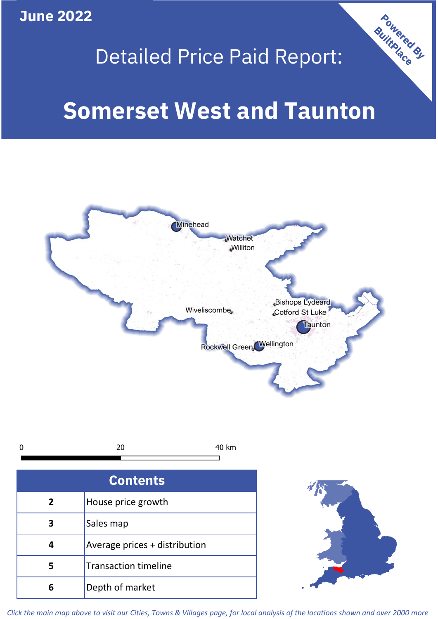**June 2022**

## Detailed Price Paid Report:

Powered By

# **Somerset West and Taunton**



*Click the main map above to visit our Cities, Towns & Villages page, for local analysis of the locations shown and over 2000 more*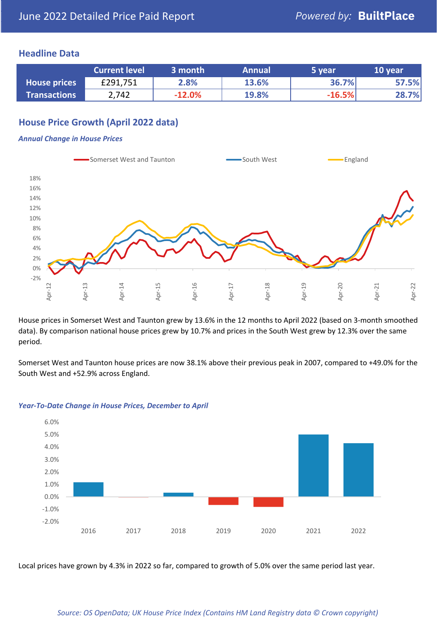## **Headline Data**

|                     | <b>Current level</b> | 3 month  | <b>Annual</b> | 5 year   | 10 year |
|---------------------|----------------------|----------|---------------|----------|---------|
| <b>House prices</b> | £291,751             | 2.8%     | 13.6%         | 36.7%    | 57.5%   |
| <b>Transactions</b> | 2,742                | $-12.0%$ | <b>19.8%</b>  | $-16.5%$ | 28.7%   |

## **House Price Growth (April 2022 data)**

#### *Annual Change in House Prices*



House prices in Somerset West and Taunton grew by 13.6% in the 12 months to April 2022 (based on 3-month smoothed data). By comparison national house prices grew by 10.7% and prices in the South West grew by 12.3% over the same period.

Somerset West and Taunton house prices are now 38.1% above their previous peak in 2007, compared to +49.0% for the South West and +52.9% across England.



#### *Year-To-Date Change in House Prices, December to April*

Local prices have grown by 4.3% in 2022 so far, compared to growth of 5.0% over the same period last year.

#### *Source: OS OpenData; UK House Price Index (Contains HM Land Registry data © Crown copyright)*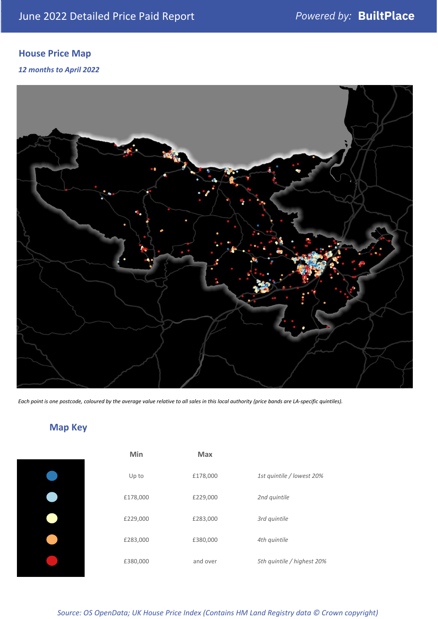## **House Price Map**

## *12 months to April 2022*



*Each point is one postcode, coloured by the average value relative to all sales in this local authority (price bands are LA-specific quintiles).*

## **Map Key**

| ſ |
|---|
| ſ |
| ſ |
| ſ |
|   |

| Min      | <b>Max</b> |                            |
|----------|------------|----------------------------|
| Up to    | £178,000   | 1st quintile / lowest 20%  |
| £178,000 | £229,000   | 2nd quintile               |
| £229,000 | £283,000   | 3rd quintile               |
| £283,000 | £380,000   | 4th quintile               |
| £380,000 | and over   | 5th quintile / highest 20% |

*Source: OS OpenData; UK House Price Index (Contains HM Land Registry data © Crown copyright)*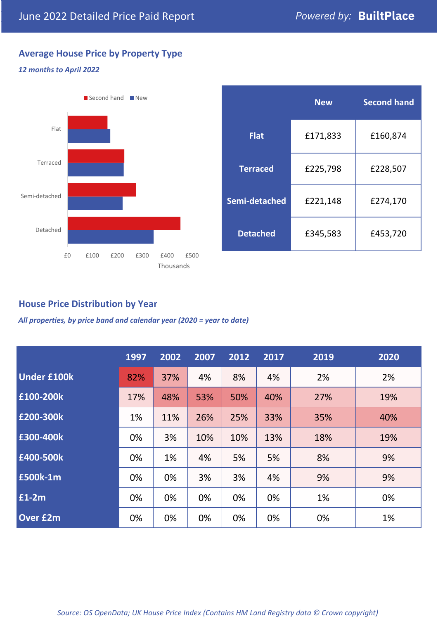## **Average House Price by Property Type**

#### *12 months to April 2022*



|                 | <b>New</b> | <b>Second hand</b> |  |  |
|-----------------|------------|--------------------|--|--|
| <b>Flat</b>     | £171,833   | £160,874           |  |  |
| <b>Terraced</b> | £225,798   | £228,507           |  |  |
| Semi-detached   | £221,148   | £274,170           |  |  |
| <b>Detached</b> | £345,583   | £453,720           |  |  |

## **House Price Distribution by Year**

*All properties, by price band and calendar year (2020 = year to date)*

|                    | 1997 | 2002 | 2007 | 2012 | 2017 | 2019 | 2020 |
|--------------------|------|------|------|------|------|------|------|
| <b>Under £100k</b> | 82%  | 37%  | 4%   | 8%   | 4%   | 2%   | 2%   |
| £100-200k          | 17%  | 48%  | 53%  | 50%  | 40%  | 27%  | 19%  |
| E200-300k          | 1%   | 11%  | 26%  | 25%  | 33%  | 35%  | 40%  |
| £300-400k          | 0%   | 3%   | 10%  | 10%  | 13%  | 18%  | 19%  |
| £400-500k          | 0%   | 1%   | 4%   | 5%   | 5%   | 8%   | 9%   |
| £500k-1m           | 0%   | 0%   | 3%   | 3%   | 4%   | 9%   | 9%   |
| £1-2m              | 0%   | 0%   | 0%   | 0%   | 0%   | 1%   | 0%   |
| <b>Over £2m</b>    | 0%   | 0%   | 0%   | 0%   | 0%   | 0%   | 1%   |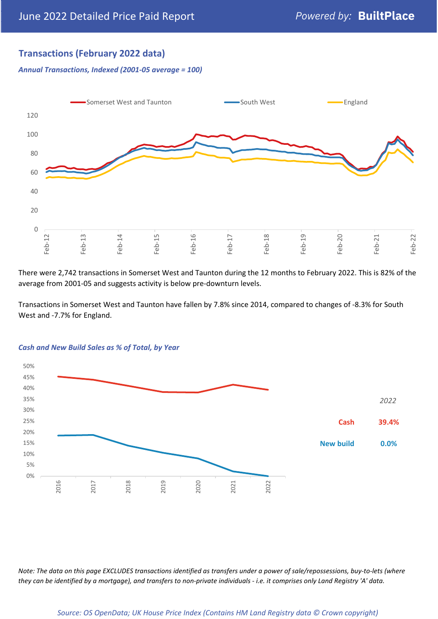## **Transactions (February 2022 data)**

*Annual Transactions, Indexed (2001-05 average = 100)*



There were 2,742 transactions in Somerset West and Taunton during the 12 months to February 2022. This is 82% of the average from 2001-05 and suggests activity is below pre-downturn levels.

Transactions in Somerset West and Taunton have fallen by 7.8% since 2014, compared to changes of -8.3% for South West and -7.7% for England.



#### *Cash and New Build Sales as % of Total, by Year*

*Note: The data on this page EXCLUDES transactions identified as transfers under a power of sale/repossessions, buy-to-lets (where they can be identified by a mortgage), and transfers to non-private individuals - i.e. it comprises only Land Registry 'A' data.*